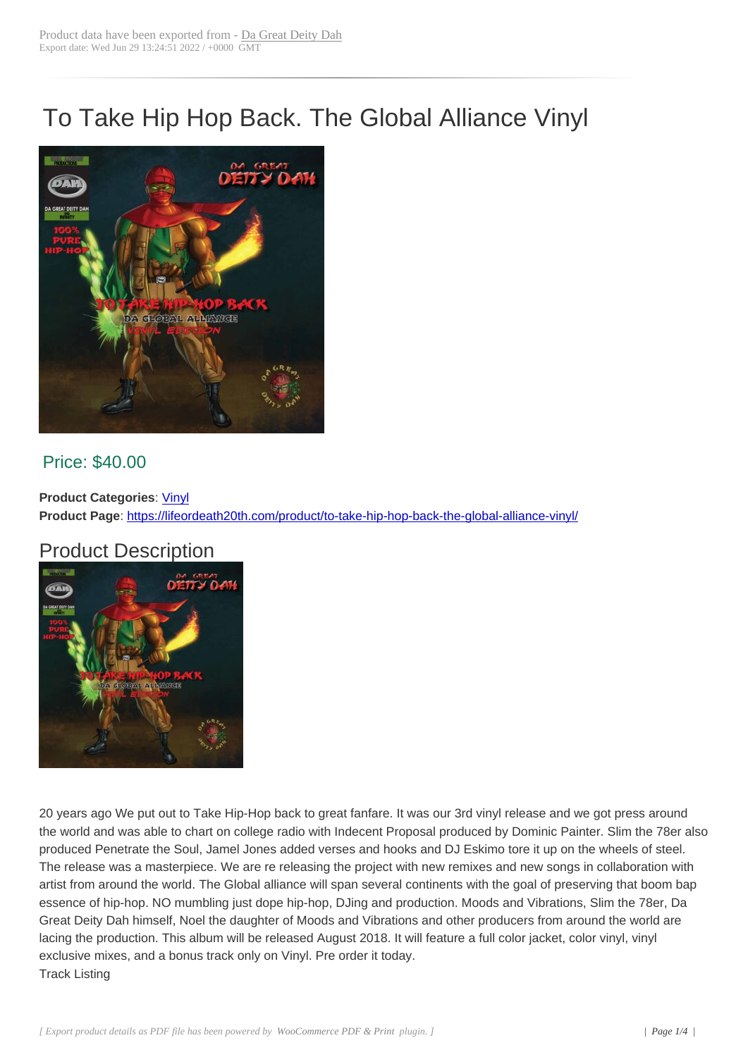## To Take Hip Hop Back. The Global Alliance Vinyl



## Price: \$40.00

**Product Categories: Vinyl Product Page**: https://lifeordeath20th.com/product/to-take-hip-hop-back-the-global-alliance-vinyl/

## Product Desc[ripti](https://lifeordeath20th.com/product-category/vinyl/)on



20 years ago We put out to Take Hip-Hop back to great fanfare. It was our 3rd vinyl release and we got press around the world and was able to chart on college radio with Indecent Proposal produced by Dominic Painter. Slim the 78er also produced Penetrate the Soul, Jamel Jones added verses and hooks and DJ Eskimo tore it up on the wheels of steel. The release was a masterpiece. We are re releasing the project with new remixes and new songs in collaboration with artist from around the world. The Global alliance will span several continents with the goal of preserving that boom bap essence of hip-hop. NO mumbling just dope hip-hop, DJing and production. Moods and Vibrations, Slim the 78er, Da Great Deity Dah himself, Noel the daughter of Moods and Vibrations and other producers from around the world are lacing the production. This album will be released August 2018. It will feature a full color jacket, color vinyl, vinyl exclusive mixes, and a bonus track only on Vinyl. Pre order it today. Track Listing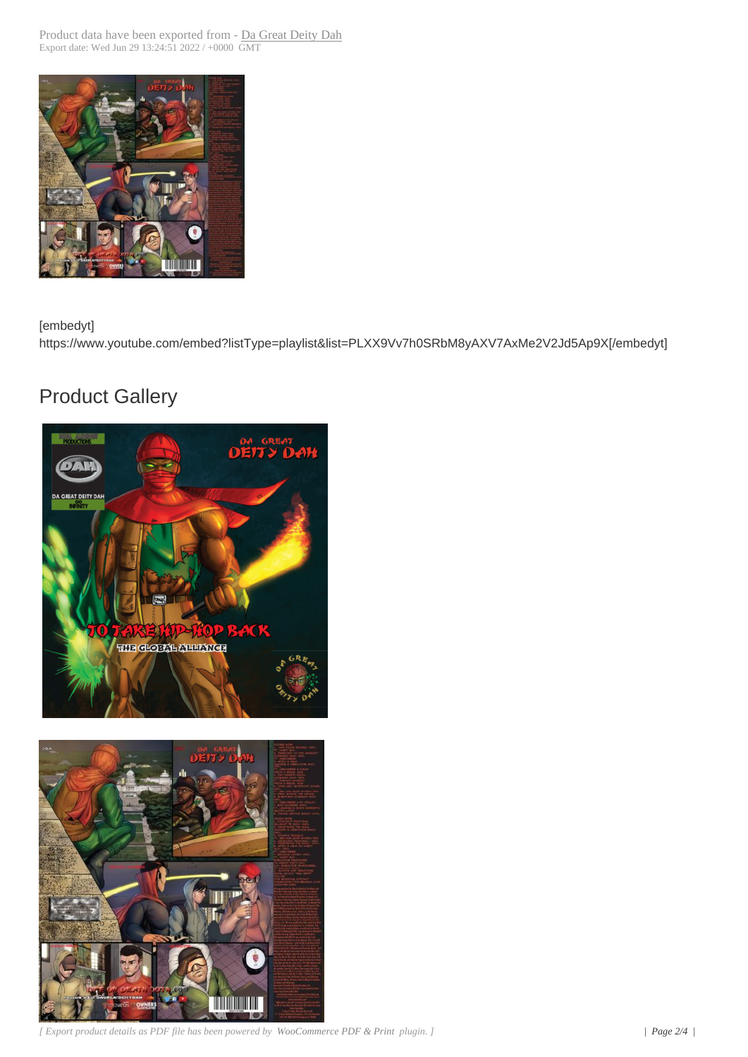

[embedyt]

https://www.youtube.com/embed?listType=playlist&list=PLXX9Vv7h0SRbM8yAXV7AxMe2V2Jd5Ap9X[/embedyt]

## Product Gallery





*[ Export product details as PDF file has been powered by WooCommerce PDF & Print plugin. ] | Page 2/4 |*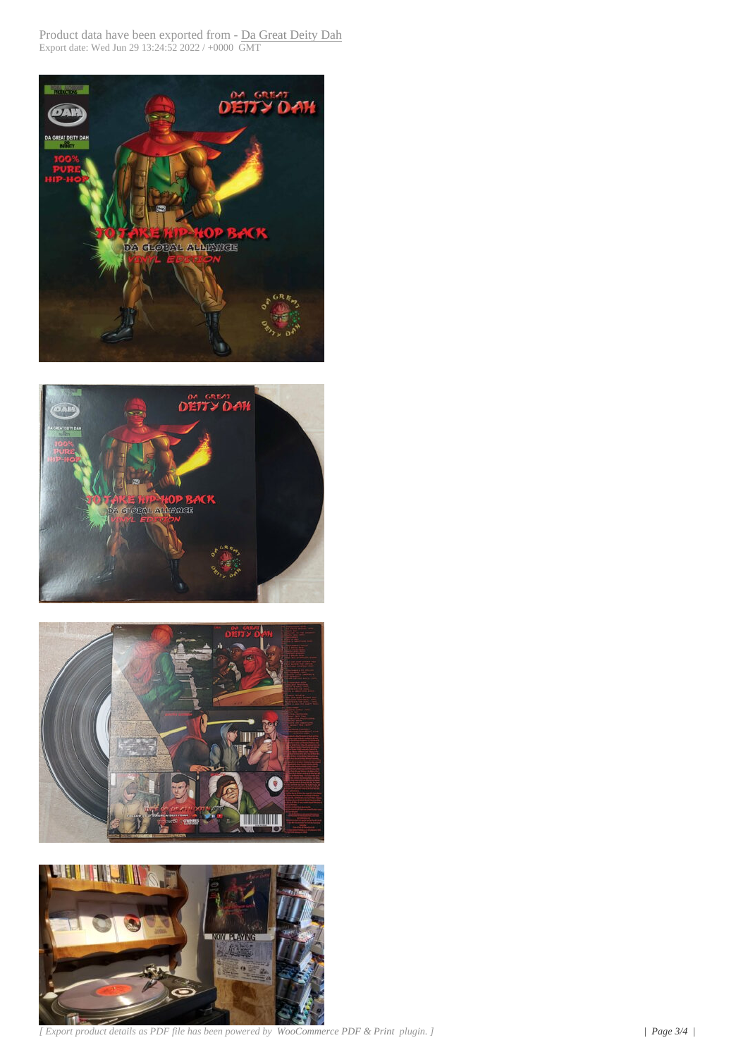







*[ Export product details as PDF file has been powered by WooCommerce PDF & Print plugin. ] | Page 3/4 |*